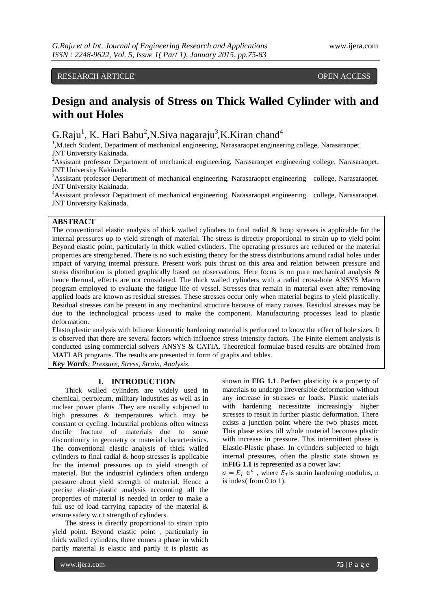## RESEARCH ARTICLE OPEN ACCESS

# **Design and analysis of Stress on Thick Walled Cylinder with and with out Holes**

G.Raju<sup>1</sup>, K. Hari Babu<sup>2</sup>, N.Siva nagaraju<sup>3</sup>, K.Kiran chand<sup>4</sup>

<sup>1</sup>, M.tech Student, Department of mechanical engineering, Narasaraopet engineering college, Narasaraopet. JNT University Kakinada.

<sup>2</sup>Assistant professor Department of mechanical engineering, Narasaraopet engineering college, Narasaraopet. JNT University Kakinada.

<sup>3</sup>Assistant professor Department of mechanical engineering, Narasaraopet engineering college, Narasaraopet. JNT University Kakinada.

<sup>4</sup>Assistant professor Department of mechanical engineering, Narasaraopet engineering college, Narasaraopet. JNT University Kakinada.

### **ABSTRACT**

The conventional elastic analysis of thick walled cylinders to final radial  $\&$  hoop stresses is applicable for the internal pressures up to yield strength of material. The stress is directly proportional to strain up to yield point Beyond elastic point, particularly in thick walled cylinders. The operating pressures are reduced or the material properties are strengthened. There is no such existing theory for the stress distributions around radial holes under impact of varying internal pressure. Present work puts thrust on this area and relation between pressure and stress distribution is plotted graphically based on observations. Here focus is on pure mechanical analysis & hence thermal, effects are not considered. The thick walled cylinders with a radial cross-hole ANSYS Macro program employed to evaluate the fatigue life of vessel. Stresses that remain in material even after removing applied loads are known as residual stresses. These stresses occur only when material begins to yield plastically. Residual stresses can be present in any mechanical structure because of many causes. Residual stresses may be due to the technological process used to make the component. Manufacturing processes lead to plastic deformation.

Elasto plastic analysis with bilinear kinematic hardening material is performed to know the effect of hole sizes. It is observed that there are several factors which influence stress intensity factors. The Finite element analysis is conducted using commercial solvers ANSYS & CATIA. Theoretical formulae based results are obtained from MATLAB programs. The results are presented in form of graphs and tables.

*Key Words: Pressure, Stress, Strain, Analysis.*

### **I. INTRODUCTION**

Thick walled cylinders are widely used in chemical, petroleum, military industries as well as in nuclear power plants .They are usually subjected to high pressures & temperatures which may be constant or cycling. Industrial problems often witness ductile fracture of materials due to some discontinuity in geometry or material characteristics. The conventional elastic analysis of thick walled cylinders to final radial & hoop stresses is applicable for the internal pressures up to yield strength of material. But the industrial cylinders often undergo pressure about yield strength of material. Hence a precise elastic-plastic analysis accounting all the properties of material is needed in order to make a full use of load carrying capacity of the material & ensure safety w.r.t strength of cylinders.

The stress is directly proportional to strain upto yield point. Beyond elastic point , particularly in thick walled cylinders, there comes a phase in which partly material is elastic and partly it is plastic as

shown in **FIG 1.1**. Perfect plasticity is a property of materials to undergo irreversible deformation without any increase in stresses or loads. Plastic materials with hardening necessitate increasingly higher stresses to result in further plastic deformation. There exists a junction point where the two phases meet. This phase exists till whole material becomes plastic with increase in pressure. This intermittent phase is Elastic-Plastic phase. In cylinders subjected to high internal pressures, often the plastic state shown as in**FIG 1.1** is represented as a power law:

 $\sigma = E_T \in \mathbb{R}^n$ , where  $E_T$  is strain hardening modulus, n is index( from 0 to 1).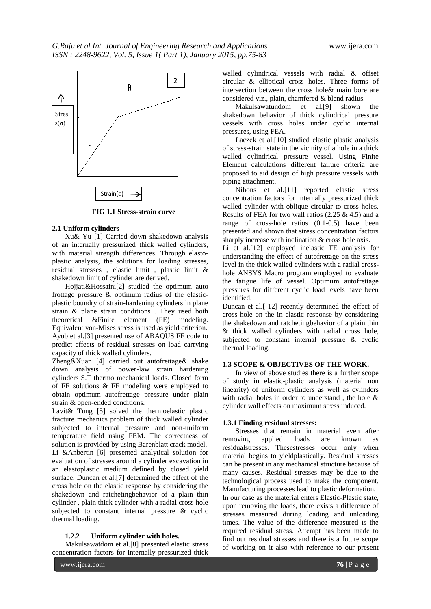

 **FIG 1.1 Stress-strain curve**

### **2.1 Uniform cylinders**

Xu& Yu [1] Carried down shakedown analysis of an internally pressurized thick walled cylinders, with material strength differences. Through elastoplastic analysis, the solutions for loading stresses, residual stresses , elastic limit , plastic limit & shakedown limit of cylinder are derived.

Hojjati&Hossaini[2] studied the optimum auto frottage pressure & optimum radius of the elasticplastic boundry of strain-hardening cylinders in plane strain & plane strain conditions . They used both theoretical &Finite element (FE) modeling. Equivalent von-Mises stress is used as yield criterion. Ayub et al.[3] presented use of ABAQUS FE code to predict effects of residual stresses on load carrying capacity of thick walled cylinders.

Zheng&Xuan [4] carried out autofrettage& shake down analysis of power-law strain hardening cylinders S.T thermo mechanical loads. Closed form of FE solutions & FE modeling were employed to obtain optimum autofrettage pressure under plain strain & open-ended conditions.

Lavit& Tung [5] solved the thermoelastic plastic fracture mechanics problem of thick walled cylinder subjected to internal pressure and non-uniform temperature field using FEM. The correctness of solution is provided by using Barenblatt crack model. Li &Anbertin [6] presented analytical solution for evaluation of stresses around a cylinder excavation in an elastoplastic medium defined by closed yield surface. Duncan et al.[7] determined the effect of the cross hole on the elastic response by considering the shakedown and ratchetingbehavior of a plain thin cylinder , plain thick cylinder with a radial cross hole subjected to constant internal pressure & cyclic thermal loading.

### **1.2.2 Uniform cylinder with holes.**

Makulsawatdom et al.[8] presented elastic stress concentration factors for internally pressurized thick

walled cylindrical vessels with radial & offset circular & elliptical cross holes. Three forms of intersection between the cross hole& main bore are considered viz., plain, chamfered & blend radius.

Makulsawatundom et al.[9] shown the shakedown behavior of thick cylindrical pressure vessels with cross holes under cyclic internal pressures, using FEA.

Laczek et al.[10] studied elastic plastic analysis of stress-strain state in the vicinity of a hole in a thick walled cylindrical pressure vessel. Using Finite Element calculations different failure criteria are proposed to aid design of high pressure vessels with piping attachment.

Nihons et al.[11] reported elastic stress concentration factors for internally pressurized thick walled cylinder with oblique circular to cross holes. Results of FEA for two wall ratios  $(2.25 \& 4.5)$  and a range of cross-hole ratios (0.1-0.5) have been presented and shown that stress concentration factors sharply increase with inclination & cross hole axis.

Li et al.[12] employed inelastic FE analysis for understanding the effect of autofrettage on the stress level in the thick walled cylinders with a radial crosshole ANSYS Macro program employed to evaluate the fatigue life of vessel. Optimum autofrettage pressures for different cyclic load levels have been identified.

Duncan et al.[ 12] recently determined the effect of cross hole on the in elastic response by considering the shakedown and ratchetingbehavior of a plain thin & thick walled cylinders with radial cross hole, subjected to constant internal pressure & cyclic thermal loading.

### **1.3 SCOPE & OBJECTIVES OF THE WORK.**

In view of above studies there is a further scope of study in elastic-plastic analysis (material non linearity) of uniform cylinders as well as cylinders with radial holes in order to understand , the hole & cylinder wall effects on maximum stress induced.

### **1.3.1 Finding residual stresses:**

Stresses that remain in material even after removing applied loads are known as residualstresses. Thesestresses occur only when material begins to yieldplastically. Residual stresses can be present in any mechanical structure because of many causes. Residual stresses may be due to the technological process used to make the component. Manufacturing processes lead to plastic deformation. In our case as the material enters Elastic-Plastic state, upon removing the loads, there exists a difference of stresses measured during loading and unloading times. The value of the difference measured is the required residual stress. Attempt has been made to find out residual stresses and there is a future scope of working on it also with reference to our present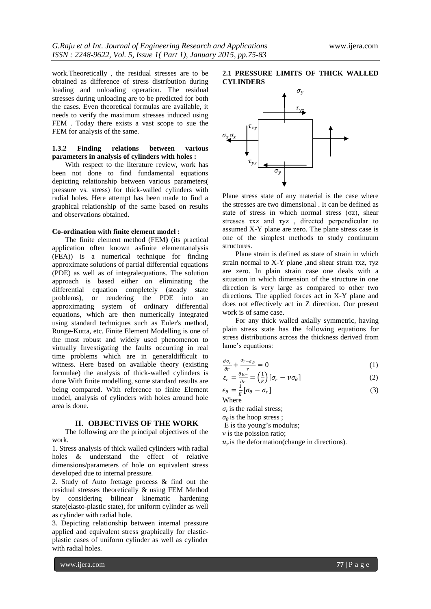work.Theoretically , the residual stresses are to be obtained as difference of stress distribution during loading and unloading operation. The residual stresses during unloading are to be predicted for both the cases. Even theoretical formulas are available, it needs to verify the maximum stresses induced using FEM . Today there exists a vast scope to sue the FEM for analysis of the same.

### **1.3.2 Finding relations between various parameters in analysis of cylinders with holes :**

With respect to the literature review, work has been not done to find fundamental equations depicting relationship between various parameters( pressure vs. stress) for thick-walled cylinders with radial holes. Here attempt has been made to find a graphical relationship of the same based on results and observations obtained.

### **Co-ordination with finite element model :**

The finite element method (FEM**)** (its practical application often known asfinite elementanalysis (FEA)) is a numerical technique for finding approximate solutions of partial differential equations (PDE) as well as of integralequations. The solution approach is based either on eliminating the differential equation completely (steady state problems), or rendering the PDE into an approximating system of ordinary differential equations, which are then numerically integrated using standard techniques such as Euler's method, Runge-Kutta, etc. Finite Element Modelling is one of the most robust and widely used phenomenon to virtually Investigating the faults occurring in real time problems which are in generaldifficult to witness. Here based on available theory (existing formulae) the analysis of thick-walled cylinders is done With finite modelling, some standard results are being compared. With reference to finite Element model, analysis of cylinders with holes around hole area is done.

### **II. OBJECTIVES OF THE WORK**

The following are the principal objectives of the work.

1. Stress analysis of thick walled cylinders with radial holes & understand the effect of relative dimensions/parameters of hole on equivalent stress developed due to internal pressure.

2. Study of Auto frettage process & find out the residual stresses theoretically & using FEM Method by considering bilinear kinematic hardening state(elasto-plastic state), for uniform cylinder as well as cylinder with radial hole.

3. Depicting relationship between internal pressure applied and equivalent stress graphically for elasticplastic cases of uniform cylinder as well as cylinder with radial holes.

### **2.1 PRESSURE LIMITS OF THICK WALLED CYLINDERS**



Plane stress state of any material is the case where the stresses are two dimensional . It can be defined as state of stress in which normal stress  $(\sigma z)$ , shear stresses τxz and τyz , directed perpendicular to assumed X-Y plane are zero. The plane stress case is one of the simplest methods to study continuum structures.

Plane strain is defined as state of strain in which strain normal to X-Y plane ,and shear strain τxz, τyz are zero. In plain strain case one deals with a situation in which dimension of the structure in one direction is very large as compared to other two directions. The applied forces act in X-Y plane and does not effectively act in Z direction. Our present work is of same case.

For any thick walled axially symmetric, having plain stress state has the following equations for stress distributions across the thickness derived from lame's equations:

$$
\frac{\partial \sigma_r}{\partial x} + \frac{\sigma_{r-\sigma_\theta}}{x} = 0 \tag{1}
$$

$$
\frac{\partial r}{\partial r} = \frac{\partial u_r}{\partial r} = \left(\frac{1}{E}\right) [\sigma_r - v \sigma_\theta]
$$
\n(2)

$$
\epsilon_{\theta} = \frac{1}{F} [\sigma_{\theta} - \sigma_r] \tag{3}
$$

 $\bigvee_{F}^{\sigma}$  E

 $\sigma_r$  is the radial stress;

 $\sigma_{\theta}$  is the hoop stress;

E is the young's modulus;

ν is the poission ratio;

 $u_r$  is the deformation(change in directions).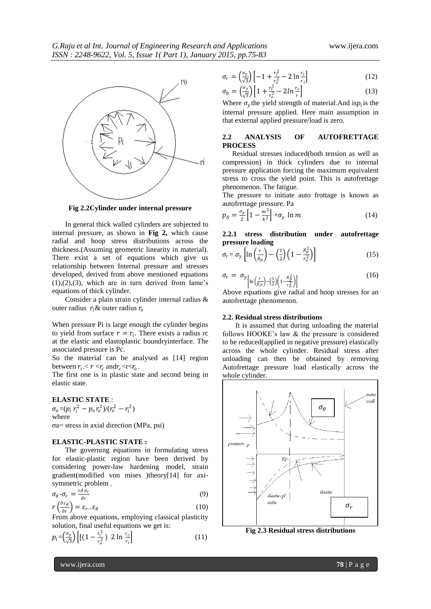

**Fig 2.2Cylinder under internal pressure**

In general thick walled cylinders are subjected to internal pressure, as shown in **Fig 2,** which cause radial and hoop stress distributions across the thickness.(Assuming geometric linearity in material). There exist a set of equations which give us relationship between Internal pressure and stresses developed, derived from above mentioned equations  $(1), (2), (3),$  which are in turn derived from lame's equations of thick cylinder.

Consider a plain strain cylinder internal radius & outer radius  $r_i$  & outer radius  $r_o$ 

When pressure Pi is large enough the cylinder begins to yield from surface  $r = r_i$ . There exists a radius rc at the elastic and elastoplastic boundryinterface. The associated pressure is Pc.

So the material can be analysed as [14] region between  $r_i < r < r_c$  and  $r_c < r < r_o$ .

The first one is in plastic state and second being in elastic state.

### **ELASTIC STATE** :

 $\sigma_a = (p_i r_i^2 - p_o r_o^2) / (r_o^2 - r_i^2)$ where σa= stress in axial direction (MPa, psi)

### **ELASTIC-PLASTIC STATE :**

The governing equations in formulating stress for elastic-plastic region have been derived by considering power-law hardening model, strain gradient(modified von mises )theory[14] for axisymmetric problem .

$$
\sigma_{\theta} - \sigma_r = \frac{r \partial \sigma_r}{\partial r} \tag{9}
$$

$$
r\left(\frac{\partial \varepsilon_{\theta}}{\partial r}\right) = \varepsilon_{r} - \varepsilon_{\theta} \tag{10}
$$

From above equations, employing classical plasticity solution, final useful equations we get is:

$$
p_i = \left(\frac{\sigma_y}{\sqrt{3}}\right) \left[ \left[ \left(1 - \frac{r_c^2}{r_o^2}\right) \ 2 \ln \frac{r_c}{r_i} \right] \right] \tag{11}
$$

$$
r = \left(\frac{\sigma_y}{\sqrt{3}}\right) \left[ -1 + \frac{r_c^2}{r_o^2} - 2 \ln \frac{r_c}{r_i} \right]
$$
 (12)

$$
\sigma_{\theta} = \left(\frac{\sigma_y}{\sqrt{3}}\right) \left[1 + \frac{r_c^2}{r_o^2} - 2\ln\frac{r_c}{r}\right] \tag{13}
$$

Where  $\sigma_y$  the yield strength of material. And is  $p_i$  is the internal pressure applied. Here main assumption in that external applied pressure/load is zero.

### **2.2 ANALYSIS OF AUTOFRETTAGE PROCESS**

Residual stresses induced(both tension as well as compression) in thick cylinders due to internal pressure application forcing the maximum equivalent stress to cross the yield point. This is autofrettage phenomenon. The fatigue.

The pressure to initiate auto frottage is known as autofrettage pressure. Pa

$$
p_A = \frac{\sigma_y}{2} \left[ 1 - \frac{m^2}{k^2} \right] + \sigma_y \ln m \tag{14}
$$

**2.2.1 stress distribution under autofrettage pressure loading**

$$
\sigma_r = \sigma_y \left[ \ln \left( \frac{r}{R_p} \right) - \left( \frac{1}{2} \right) \left( 1 - \frac{R_p^2}{r_o^2} \right) \right] \tag{15}
$$

$$
\sigma_r = \sigma_y \left[ \ln \left( \frac{r}{R_p} \right) - \left( \frac{1}{2} \right) \left( 1 - \frac{R_p^2}{r_o^2} \right) \right] \tag{16}
$$

Above equations give radial and hoop stresses for an autofrettage phenomenon.

#### **2.2. Residual stress distributions**

It is assumed that during unloading the material follows HOOKE's law & the pressure is considered to be reduced(applied in negative pressure) elastically across the whole cylinder. Residual stress after unloading can then be obtained by removing Autofrettage pressure load elastically across the whole cylinder.



**Fig 2.3 Residual stress distributions**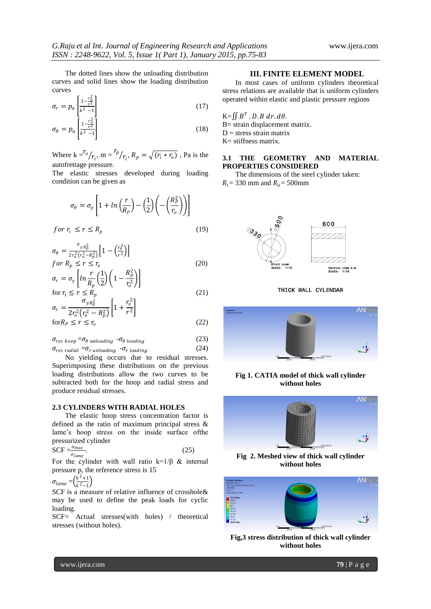The dotted lines show the unloading distribution curves and solid lines show the loading distribution curves

$$
\sigma_r = p_a \left[ \frac{1 - \frac{r_0^2}{r^2}}{k^2 - 1} \right] \tag{17}
$$

$$
\sigma_{\theta} = p_a \left[ \frac{1 - \frac{r_b^2}{r^2}}{k^2 - 1} \right] \tag{18}
$$

Where  $k = \frac{r_o}{r_i}$ , m =  $\frac{r_p}{r_i}$  $\langle r_i, R_p = \sqrt{(r_i * r_o)}$ , Pa is the autofrettage pressure.

The elastic stresses developed during loading condition can be given as

$$
\sigma_{\theta} = \sigma_{y} \left[ 1 + \ln \left( \frac{r}{R_{p}} \right) - \left( \frac{1}{2} \right) \left( - \left( \frac{R_{p}^{2}}{r_{o}} \right) \right) \right]
$$

$$
for r_i \le r \le R_p \tag{19}
$$

$$
\sigma_{\theta} = \frac{\sigma_{yR_p^2}}{2r_o^2(r_o^2 - R_p^2)} \Big[ 1 - \Big(\frac{r_o^2}{r^2}\Big) \Big]
$$
  
for  $R_p \le r \le r_o$  (20)

$$
\sigma_r = \sigma_y \left[ \ln \frac{r}{R_p} \left( \frac{1}{2} \right) \left( 1 - \frac{R_p^2}{r_o^2} \right) \right]
$$
  
for  $r_i \le r \le R_p$  (21)

$$
\sigma_r = \frac{\sigma_{yR_p^2}}{2r_o^2(r_o^2 - R_p^2)} \left[1 + \frac{r_o^2}{r^2}\right]
$$
  
for  $R_p \le r \le r_o$  (22)

$$
\sigma_{res \; hoop} = \sigma_{\theta \;unloading} - \sigma_{\theta \;loading} \tag{23}
$$

$$
\sigma_{res \, radial} = \sigma_{r \, unloading} - \sigma_{r \, loading} \tag{24}
$$

No yielding occurs due to residual stresses. Superimposing these distributions on the previous loading distributions allow the two curves to be subtracted both for the hoop and radial stress and produce residual stresses.

### **2.3 CYLINDERS WITH RADIAL HOLES**

The elastic hoop stress concentration factor is defined as the ratio of maximum principal stress & lame's hoop stress on the inside surface ofthe pressurized cylinder

$$
SCF = \frac{\sigma_{max}}{\sigma_{lame}}.\tag{25}
$$

For the cylinder with wall ratio  $k=1/\beta$  & internal pressure p, the reference stress is 15

$$
\sigma_{lame} = \left(\frac{k^2+1}{k^2-1}\right)
$$

SCF is a measure of relative influence of crosshole& may be used to define the peak loads for cyclic loading.

SCF= Actual stresses(with holes) / theoretical stresses (without holes).

### **III. FINITE ELEMENT MODEL**

In most cases of uniform cylinders theoretical stress relations are available that is uniform cylinders operated within elastic and plastic pressure regions

K= 
$$
\iint B^T
$$
. *D*. *B dr*. *dθ*.  
B= strain displacement matrix.  
D = stress strain matrix  
K= stiffness matrix.

### **3.1 THE GEOMETRY AND MATERIAL PROPERTIES CONSIDERED**

The dimensions of the steel cylinder taken:

 $R_i = 330$  mm and  $R_o = 500$ mm



THICK WALL CYLENDAR



### **Fig 1. CATIA model of thick wall cylinder without holes**



**Fig 2. Meshed view of thick wall cylinder without holes**



**Fig,3 stress distribution of thick wall cylinder without holes**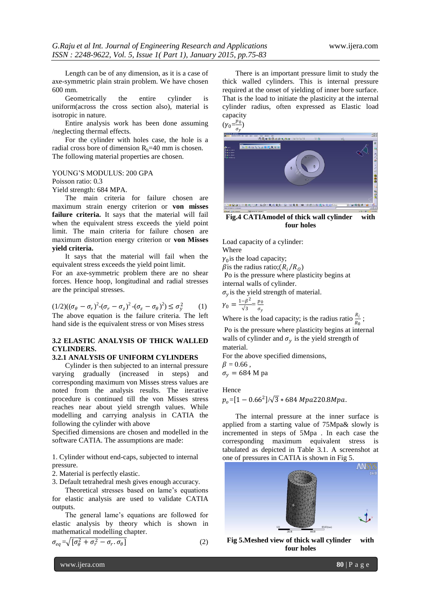Length can be of any dimension, as it is a case of axe-symmetric plain strain problem. We have chosen 600 mm.

Geometrically the entire cylinder is uniform(across the cross section also), material is isotropic in nature.

Entire analysis work has been done assuming /neglecting thermal effects.

For the cylinder with holes case, the hole is a radial cross bore of dimension  $R_h=40$  mm is chosen. The following material properties are chosen.

YOUNG'S MODULUS: 200 GPA

Poisson ratio: 0.3

Yield strength: 684 MPA.

The main criteria for failure chosen are maximum strain energy criterion or **von misses failure criteria.** It says that the material will fail when the equivalent stress exceeds the yield point limit. The main criteria for failure chosen are maximum distortion energy criterion or **von Misses yield criteria.** 

It says that the material will fail when the equivalent stress exceeds the yield point limit.

For an axe-symmetric problem there are no shear forces. Hence hoop, longitudinal and radial stresses are the principal stresses.

$$
(1/2)((\sigma_{\theta} - \sigma_{r})^{2}-(\sigma_{r} - \sigma_{z})^{2}-(\sigma_{z} - \sigma_{\theta})^{2}) \leq \sigma_{y}^{2}
$$
 (1)  
The above equation is the failure criteria. The left  
hand side is the equivalent stress or von Mises stress

### **3.2 ELASTIC ANALYSIS OF THICK WALLED CYLINDERS.**

### **3.2.1 ANALYSIS OF UNIFORM CYLINDERS**

Cylinder is then subjected to an internal pressure varying gradually (increased in steps) and corresponding maximum von Misses stress values are noted from the analysis results. The iterative procedure is continued till the von Misses stress reaches near about yield strength values. While modelling and carrying analysis in CATIA the following the cylinder with above

Specified dimensions are chosen and modelled in the software CATIA. The assumptions are made:

1. Cylinder without end-caps, subjected to internal pressure.

2. Material is perfectly elastic.

3. Default tetrahedral mesh gives enough accuracy.

Theoretical stresses based on lame's equations for elastic analysis are used to validate CATIA outputs.

The general lame's equations are followed for elastic analysis by theory which is shown in mathematical modelling chapter.

$$
\sigma_{eq} = \sqrt{\left[\sigma_{\theta}^2 + \sigma_{r}^2 - \sigma_{r} \cdot \sigma_{\theta}\right]}
$$
 (2)

There is an important pressure limit to study the thick walled cylinders. This is internal pressure required at the onset of yielding of inner bore surface. That is the load to initiate the plasticity at the internal cylinder radius, often expressed as Elastic load capacity

 $(\gamma_0 = \frac{p_0}{\sigma_0})$  $\frac{\rho_0}{\sigma_y}$ 



**Fig.4 CATIAmodel of thick wall cylinder with four holes**

Load capacity of a cylinder: Where

 $\gamma_0$  is the load capacity;

 $\beta$  is the radius ratio;( $R_i/R_o$ )

Po is the pressure where plasticity begins at

internal walls of cylinder.

 $\sigma_y$  is the yield strength of material.

 $\gamma_0 = \frac{1-\beta^2}{\sqrt{3}}$  $\frac{-\beta^2}{\sqrt{3}} = \frac{p_0}{\sigma_v}$  $\sigma_y$ 

Where is the load capacity; is the radius ratio  $\frac{R_i}{R_0}$ ;

Po is the pressure where plasticity begins at internal walls of cylinder and  $\sigma_y$  is the yield strength of material.

For the above specified dimensions,  $\beta = 0.66$ ,

 $\sigma_{v} = 684$  M pa

Hence

 $p_o$ =[1  $-$  0.66 $^2$ ]/ $\sqrt{3}$   $\ast$  684 Mpa220.8Mpa.

The internal pressure at the inner surface is applied from a starting value of 75Mpa& slowly is incremented in steps of 5Mpa . In each case the corresponding maximum equivalent stress is tabulated as depicted in Table 3.1. A screenshot at one of pressures in CATIA is shown in Fig 5.



**Fig 5.Meshed view of thick wall cylinder with four holes**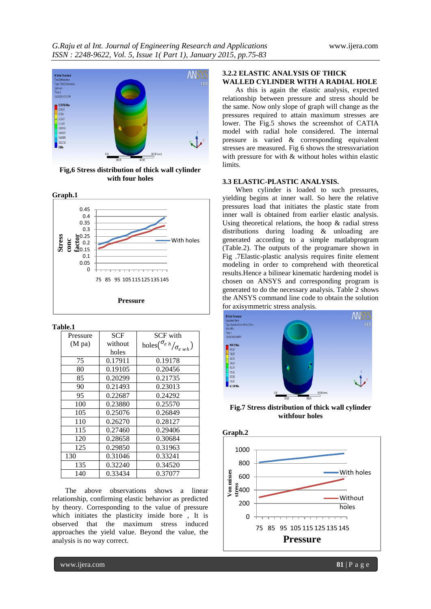

**Fig,6 Stress distribution of thick wall cylinder with four holes**



### **Table.1**

| Pressure         | <b>SCF</b> | <b>SCF</b> with                             |
|------------------|------------|---------------------------------------------|
| $(M \text{ pa})$ | without    | holes $\binom{\sigma_{e h}}{\sigma_{e wh}}$ |
|                  | holes      |                                             |
| 75               | 0.17911    | 0.19178                                     |
| 80               | 0.19105    | 0.20456                                     |
| 85               | 0.20299    | 0.21735                                     |
| 90               | 0.21493    | 0.23013                                     |
| 95               | 0.22687    | 0.24292                                     |
| 100              | 0.23880    | 0.25570                                     |
| 105              | 0.25076    | 0.26849                                     |
| 110              | 0.26270    | 0.28127                                     |
| 115              | 0.27460    | 0.29406                                     |
| 120              | 0.28658    | 0.30684                                     |
| 125              | 0.29850    | 0.31963                                     |
| 130              | 0.31046    | 0.33241                                     |
| 135              | 0.32240    | 0.34520                                     |
| 140              | 0.33434    | 0.37077                                     |

The above observations shows a linear relationship, confirming elastic behavior as predicted by theory. Corresponding to the value of pressure which initiates the plasticity inside bore , It is observed that the maximum stress induced approaches the yield value. Beyond the value, the analysis is no way correct.

### **3.2.2 ELASTIC ANALYSIS OF THICK WALLED CYLINDER WITH A RADIAL HOLE**

As this is again the elastic analysis, expected relationship between pressure and stress should be the same. Now only slope of graph will change as the pressures required to attain maximum stresses are lower. The Fig.5 shows the screenshot of CATIA model with radial hole considered. The internal pressure is varied & corresponding equivalent stresses are measured. Fig 6 shows the stressvariation with pressure for with & without holes within elastic limits.

### **3.3 ELASTIC-PLASTIC ANALYSIS.**

When cylinder is loaded to such pressures, yielding begins at inner wall. So here the relative pressures load that initiates the plastic state from inner wall is obtained from earlier elastic analysis. Using theoretical relations, the hoop & radial stress distributions during loading & unloading are generated according to a simple matlabprogram (Table.2). The outputs of the programare shown in Fig .7Elastic-plastic analysis requires finite element modeling in order to comprehend with theoretical results.Hence a bilinear kinematic hardening model is chosen on ANSYS and corresponding program is generated to do the necessary analysis. Table 2 shows the ANSYS command line code to obtain the solution for axisymmetric stress analysis.



**Fig.7 Stress distribution of thick wall cylinder withfour holes**

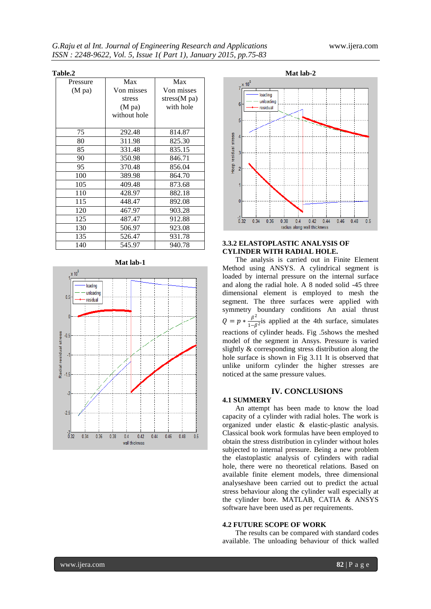### **Table.2**

| Pressure         | Max              | Max          |
|------------------|------------------|--------------|
| $(M \text{ pa})$ | Von misses       | Von misses   |
|                  | stress           | stress(M pa) |
|                  | $(M \text{ pa})$ | with hole    |
|                  | without hole     |              |
|                  |                  |              |
| 75               | 292.48           | 814.87       |
| 80               | 311.98           | 825.30       |
| 85               | 331.48           | 835.15       |
| 90               | 350.98           | 846.71       |
| 95               | 370.48           | 856.04       |
| 100              | 389.98           | 864.70       |
| 105              | 409.48           | 873.68       |
| 110              | 428.97           | 882.18       |
| 115              | 448.47           | 892.08       |
| 120              | 467.97           | 903.28       |
| 125              | 487.47           | 912.88       |
| 130              | 506.97           | 923.08       |
| 135              | 526.47           | 931.78       |
| 140              | 545.97           | 940.78       |







### **3.3.2 ELASTOPLASTIC ANALYSIS OF CYLINDER WITH RADIAL HOLE.**

The analysis is carried out in Finite Element Method using ANSYS. A cylindrical segment is loaded by internal pressure on the internal surface and along the radial hole. A 8 noded solid -45 three dimensional element is employed to mesh the segment. The three surfaces were applied with symmetry boundary conditions An axial thrust  $Q = p * \frac{\beta^2}{1 - \beta}$  $\frac{p}{1-\beta^2}$  is applied at the 4th surface, simulates reactions of cylinder heads. Fig .5shows the meshed model of the segment in Ansys. Pressure is varied slightly & corresponding stress distribution along the hole surface is shown in Fig 3.11 It is observed that unlike uniform cylinder the higher stresses are noticed at the same pressure values.

### **IV. CONCLUSIONS**

### **4.1 SUMMERY**

An attempt has been made to know the load capacity of a cylinder with radial holes. The work is organized under elastic & elastic-plastic analysis. Classical book work formulas have been employed to obtain the stress distribution in cylinder without holes subjected to internal pressure. Being a new problem the elastoplastic analysis of cylinders with radial hole, there were no theoretical relations. Based on available finite element models, three dimensional analyseshave been carried out to predict the actual stress behaviour along the cylinder wall especially at the cylinder bore. MATLAB, CATIA & ANSYS software have been used as per requirements.

### **4.2 FUTURE SCOPE OF WORK**

The results can be compared with standard codes available. The unloading behaviour of thick walled